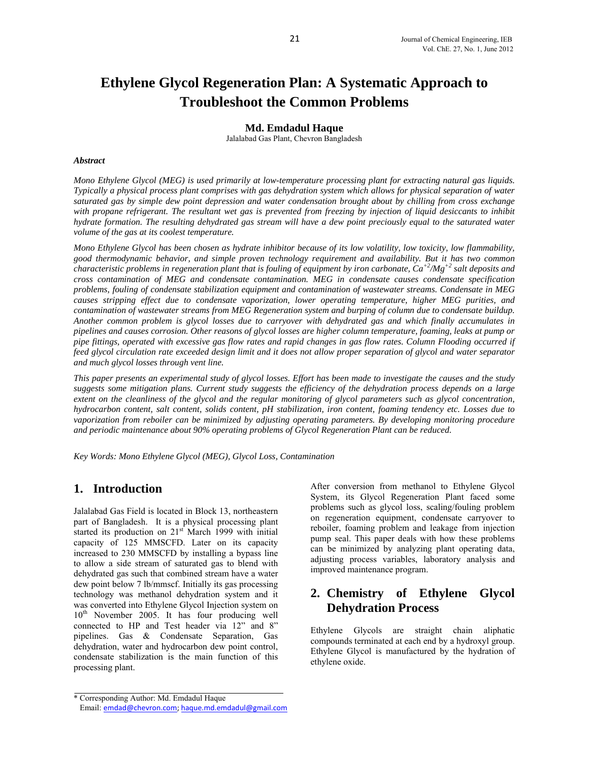# **Ethylene Glycol Regeneration Plan: A Systematic Approach to Troubleshoot the Common Problems**

#### **Md. Emdadul Haque**

Jalalabad Gas Plant, Chevron Bangladesh

#### *Abstract*

*Mono Ethylene Glycol (MEG) is used primarily at low-temperature processing plant for extracting natural gas liquids. Typically a physical process plant comprises with gas dehydration system which allows for physical separation of water saturated gas by simple dew point depression and water condensation brought about by chilling from cross exchange*  with propane refrigerant. The resultant wet gas is prevented from freezing by injection of liquid desiccants to inhibit *hydrate formation. The resulting dehydrated gas stream will have a dew point preciously equal to the saturated water volume of the gas at its coolest temperature.* 

*Mono Ethylene Glycol has been chosen as hydrate inhibitor because of its low volatility, low toxicity, low flammability, good thermodynamic behavior, and simple proven technology requirement and availability. But it has two common characteristic problems in regeneration plant that is fouling of equipment by iron carbonate, Ca+2/Mg+2 salt deposits and cross contamination of MEG and condensate contamination. MEG in condensate causes condensate specification problems, fouling of condensate stabilization equipment and contamination of wastewater streams. Condensate in MEG causes stripping effect due to condensate vaporization, lower operating temperature, higher MEG purities, and contamination of wastewater streams from MEG Regeneration system and burping of column due to condensate buildup. Another common problem is glycol losses due to carryover with dehydrated gas and which finally accumulates in pipelines and causes corrosion. Other reasons of glycol losses are higher column temperature, foaming, leaks at pump or pipe fittings, operated with excessive gas flow rates and rapid changes in gas flow rates. Column Flooding occurred if feed glycol circulation rate exceeded design limit and it does not allow proper separation of glycol and water separator and much glycol losses through vent line.*

*This paper presents an experimental study of glycol losses. Effort has been made to investigate the causes and the study suggests some mitigation plans. Current study suggests the efficiency of the dehydration process depends on a large extent on the cleanliness of the glycol and the regular monitoring of glycol parameters such as glycol concentration, hydrocarbon content, salt content, solids content, pH stabilization, iron content, foaming tendency etc. Losses due to vaporization from reboiler can be minimized by adjusting operating parameters. By developing monitoring procedure and periodic maintenance about 90% operating problems of Glycol Regeneration Plant can be reduced.* 

*Key Words: Mono Ethylene Glycol (MEG), Glycol Loss, Contamination* 

# **1. Introduction**

Jalalabad Gas Field is located in Block 13, northeastern part of Bangladesh. It is a physical processing plant started its production on 21<sup>st</sup> March 1999 with initial capacity of 125 MMSCFD. Later on its capacity increased to 230 MMSCFD by installing a bypass line to allow a side stream of saturated gas to blend with dehydrated gas such that combined stream have a water dew point below 7 lb/mmscf. Initially its gas processing technology was methanol dehydration system and it was converted into Ethylene Glycol Injection system on 10<sup>th</sup> November 2005. It has four producing well connected to HP and Test header via 12" and 8" pipelines. Gas & Condensate Separation, Gas dehydration, water and hydrocarbon dew point control, condensate stabilization is the main function of this processing plant.

After conversion from methanol to Ethylene Glycol System, its Glycol Regeneration Plant faced some problems such as glycol loss, scaling/fouling problem on regeneration equipment, condensate carryover to reboiler, foaming problem and leakage from injection pump seal. This paper deals with how these problems can be minimized by analyzing plant operating data, adjusting process variables, laboratory analysis and improved maintenance program.

# **2. Chemistry of Ethylene Glycol Dehydration Process**

Ethylene Glycols are straight chain aliphatic compounds terminated at each end by a hydroxyl group. Ethylene Glycol is manufactured by the hydration of ethylene oxide.

<sup>\*</sup> Corresponding Author: Md. Emdadul Haque

Email: emdad@chevron.com; haque.md.emdadul@gmail.com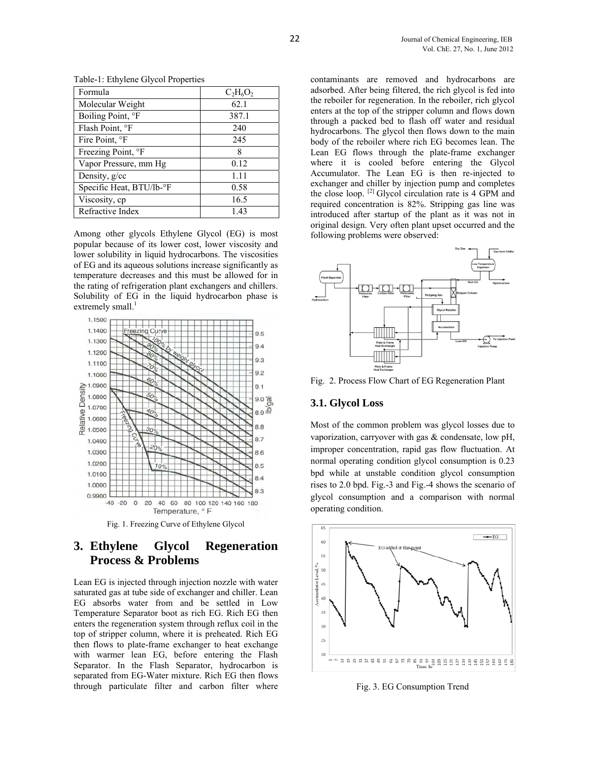| Formula                  | $C_2H_6O_2$ |
|--------------------------|-------------|
| Molecular Weight         | 62.1        |
| Boiling Point, °F        | 387.1       |
| Flash Point, °F          | 240         |
| Fire Point, °F           | 245         |
| Freezing Point, °F       | 8           |
| Vapor Pressure, mm Hg    | 0.12        |
| Density, g/cc            | 1.11        |
| Specific Heat, BTU/lb-°F | 0.58        |
| Viscosity, cp            | 16.5        |
| Refractive Index         | 1.43        |

Table-1: Ethylene Glycol Properties

Among other glycols Ethylene Glycol (EG) is most popular because of its lower cost, lower viscosity and lower solubility in liquid hydrocarbons. The viscosities of EG and its aqueous solutions increase significantly as temperature decreases and this must be allowed for in the rating of refrigeration plant exchangers and chillers. Solubility of EG in the liquid hydrocarbon phase is extremely small. $<sup>1</sup>$ </sup>



Fig. 1. Freezing Curve of Ethylene Glycol

# **3. Ethylene Glycol Regeneration Process & Problems**

Lean EG is injected through injection nozzle with water saturated gas at tube side of exchanger and chiller. Lean EG absorbs water from and be settled in Low Temperature Separator boot as rich EG. Rich EG then enters the regeneration system through reflux coil in the top of stripper column, where it is preheated. Rich EG then flows to plate-frame exchanger to heat exchange with warmer lean EG, before entering the Flash Separator. In the Flash Separator, hydrocarbon is separated from EG-Water mixture. Rich EG then flows through particulate filter and carbon filter where

contaminants are removed and hydrocarbons are adsorbed. After being filtered, the rich glycol is fed into the reboiler for regeneration. In the reboiler, rich glycol enters at the top of the stripper column and flows down through a packed bed to flash off water and residual hydrocarbons. The glycol then flows down to the main body of the reboiler where rich EG becomes lean. The Lean EG flows through the plate-frame exchanger where it is cooled before entering the Glycol Accumulator. The Lean EG is then re-injected to exchanger and chiller by injection pump and completes the close loop.  $[2]$  Glycol circulation rate is 4 GPM and required concentration is 82%. Stripping gas line was introduced after startup of the plant as it was not in original design. Very often plant upset occurred and the following problems were observed:



Fig. 2. Process Flow Chart of EG Regeneration Plant

#### **3.1. Glycol Loss**

Most of the common problem was glycol losses due to vaporization, carryover with gas & condensate, low pH, improper concentration, rapid gas flow fluctuation. At normal operating condition glycol consumption is 0.23 bpd while at unstable condition glycol consumption rises to 2.0 bpd. Fig.-3 and Fig.-4 shows the scenario of glycol consumption and a comparison with normal operating condition.



Fig. 3. EG Consumption Trend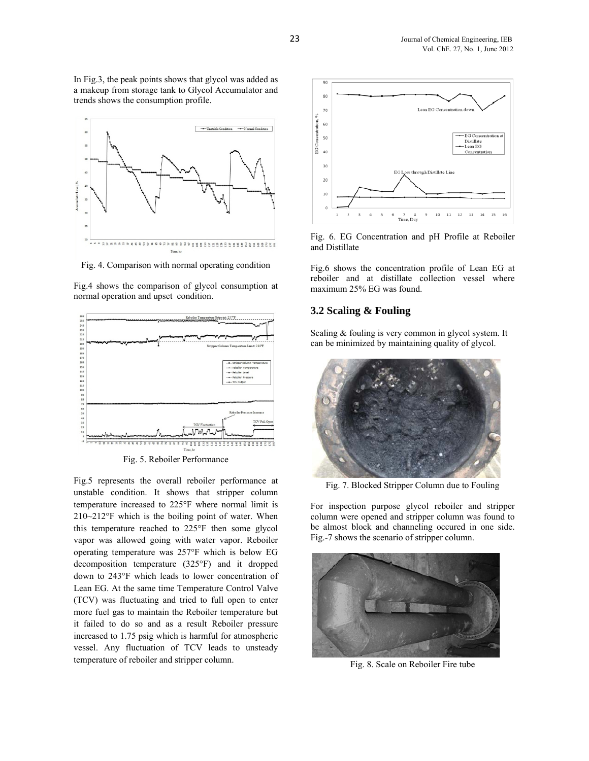In Fig.3, the peak points shows that glycol was added as a makeup from storage tank to Glycol Accumulator and trends shows the consumption profile.



Fig. 4. Comparison with normal operating condition

Fig.4 shows the comparison of glycol consumption at normal operation and upset condition.

![](_page_2_Figure_5.jpeg)

Fig. 5. Reboiler Performance

Fig.5 represents the overall reboiler performance at unstable condition. It shows that stripper column temperature increased to 225°F where normal limit is 210~212°F which is the boiling point of water. When this temperature reached to 225°F then some glycol vapor was allowed going with water vapor. Reboiler operating temperature was 257°F which is below EG decomposition temperature (325°F) and it dropped down to 243°F which leads to lower concentration of Lean EG. At the same time Temperature Control Valve (TCV) was fluctuating and tried to full open to enter more fuel gas to maintain the Reboiler temperature but it failed to do so and as a result Reboiler pressure increased to 1.75 psig which is harmful for atmospheric vessel. Any fluctuation of TCV leads to unsteady temperature of reboiler and stripper column.

![](_page_2_Figure_8.jpeg)

Fig. 6. EG Concentration and pH Profile at Reboiler and Distillate

Fig.6 shows the concentration profile of Lean EG at reboiler and at distillate collection vessel where maximum 25% EG was found.

#### **3.2 Scaling & Fouling**

Scaling & fouling is very common in glycol system. It can be minimized by maintaining quality of glycol.

![](_page_2_Picture_13.jpeg)

Fig. 7. Blocked Stripper Column due to Fouling

For inspection purpose glycol reboiler and stripper column were opened and stripper column was found to be almost block and channeling occured in one side. Fig.-7 shows the scenario of stripper column.

![](_page_2_Picture_16.jpeg)

Fig. 8. Scale on Reboiler Fire tube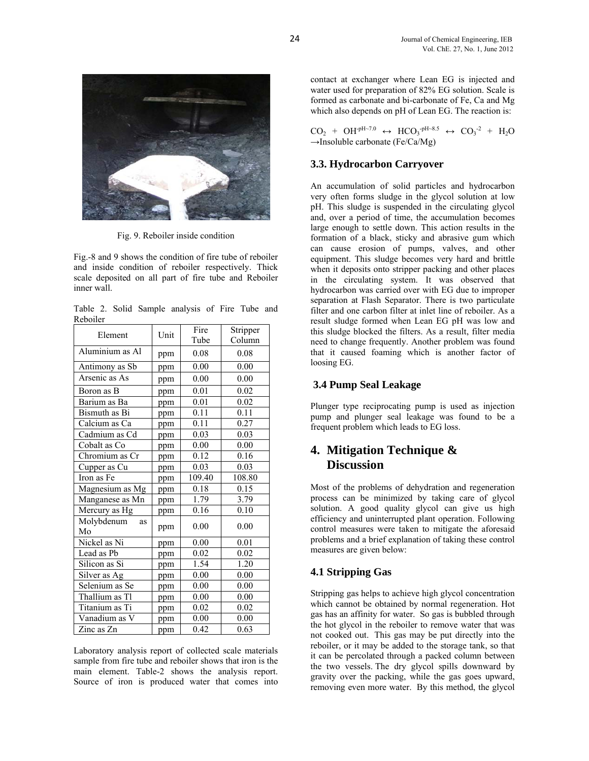![](_page_3_Picture_1.jpeg)

Fig. 9. Reboiler inside condition

Fig.-8 and 9 shows the condition of fire tube of reboiler and inside condition of reboiler respectively. Thick scale deposited on all part of fire tube and Reboiler inner wall.

Table 2. Solid Sample analysis of Fire Tube and Reboiler

| Element                | Unit | Fire   | Stripper |
|------------------------|------|--------|----------|
|                        |      | Tube   | Column   |
| Aluminium as Al        | ppm  | 0.08   | 0.08     |
| Antimony as Sb         | ppm  | 0.00   | 0.00     |
| Arsenic as As          | ppm  | 0.00   | 0.00     |
| Boron as B             | ppm  | 0.01   | 0.02     |
| Barium as Ba           | ppm  | 0.01   | 0.02     |
| Bismuth as Bi          | ppm  | 0.11   | 0.11     |
| Calcium as Ca          | ppm  | 0.11   | 0.27     |
| Cadmium as Cd          | ppm  | 0.03   | 0.03     |
| Cobalt as Co           | ppm  | 0.00   | 0.00     |
| Chromium as Cr         | ppm  | 0.12   | 0.16     |
| Cupper as Cu           | ppm  | 0.03   | 0.03     |
| Iron as Fe             | ppm  | 109.40 | 108.80   |
| Magnesium as Mg        | ppm  | 0.18   | 0.15     |
| Manganese as Mn        | ppm  | 1.79   | 3.79     |
| Mercury as Hg          | ppm  | 0.16   | 0.10     |
| Molybdenum<br>as<br>Mo | ppm  | 0.00   | 0.00     |
| Nickel as Ni           | ppm  | 0.00   | 0.01     |
| Lead as Pb             | ppm  | 0.02   | 0.02     |
| Silicon as Si          | ppm  | 1.54   | 1.20     |
| Silver as Ag           | ppm  | 0.00   | 0.00     |
| Selenium as Se         | ppm  | 0.00   | 0.00     |
| Thallium as Tl         | ppm  | 0.00   | 0.00     |
| Titanium as Ti         | ppm  | 0.02   | 0.02     |
| Vanadium as V          | ppm  | 0.00   | 0.00     |
| Zinc as Zn             | ppm  | 0.42   | 0.63     |

Laboratory analysis report of collected scale materials sample from fire tube and reboiler shows that iron is the main element. Table-2 shows the analysis report. Source of iron is produced water that comes into contact at exchanger where Lean EG is injected and water used for preparation of 82% EG solution. Scale is formed as carbonate and bi-carbonate of Fe, Ca and Mg which also depends on pH of Lean EG. The reaction is:

 $CO_2 + OH^{pH-7.0} \leftrightarrow HCO_3^{-pH-8.5} \leftrightarrow CO_3^{-2} + H_2O$  $\rightarrow$ Insoluble carbonate (Fe/Ca/Mg)

### **3.3. Hydrocarbon Carryover**

An accumulation of solid particles and hydrocarbon very often forms sludge in the glycol solution at low pH. This sludge is suspended in the circulating glycol and, over a period of time, the accumulation becomes large enough to settle down. This action results in the formation of a black, sticky and abrasive gum which can cause erosion of pumps, valves, and other equipment. This sludge becomes very hard and brittle when it deposits onto stripper packing and other places in the circulating system. It was observed that hydrocarbon was carried over with EG due to improper separation at Flash Separator. There is two particulate filter and one carbon filter at inlet line of reboiler. As a result sludge formed when Lean EG pH was low and this sludge blocked the filters. As a result, filter media need to change frequently. Another problem was found that it caused foaming which is another factor of loosing EG.

#### **3.4 Pump Seal Leakage**

Plunger type reciprocating pump is used as injection pump and plunger seal leakage was found to be a frequent problem which leads to EG loss.

# **4. Mitigation Technique & Discussion**

Most of the problems of dehydration and regeneration process can be minimized by taking care of glycol solution. A good quality glycol can give us high efficiency and uninterrupted plant operation. Following control measures were taken to mitigate the aforesaid problems and a brief explanation of taking these control measures are given below:

# **4.1 Stripping Gas**

Stripping gas helps to achieve high glycol concentration which cannot be obtained by normal regeneration. Hot gas has an affinity for water. So gas is bubbled through the hot glycol in the reboiler to remove water that was not cooked out. This gas may be put directly into the reboiler, or it may be added to the storage tank, so that it can be percolated through a packed column between the two vessels. The dry glycol spills downward by gravity over the packing, while the gas goes upward, removing even more water. By this method, the glycol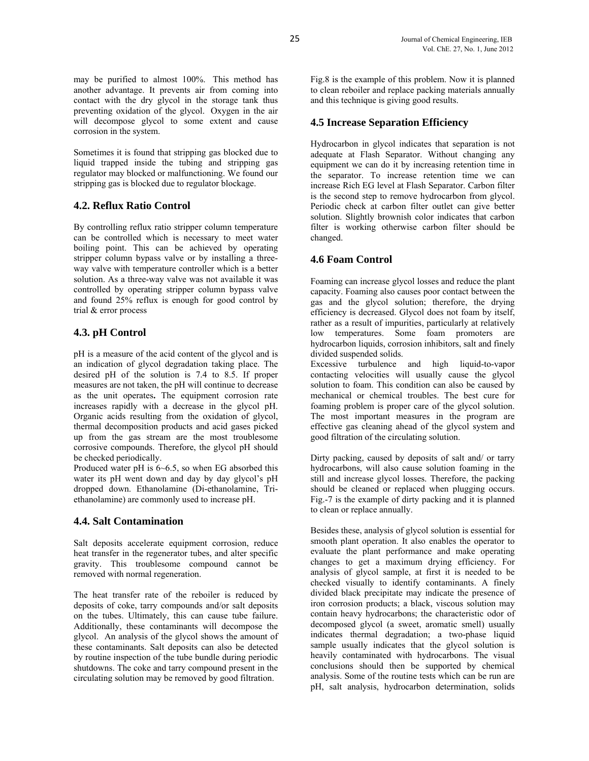may be purified to almost 100%. This method has another advantage. It prevents air from coming into contact with the dry glycol in the storage tank thus preventing oxidation of the glycol. Oxygen in the air will decompose glycol to some extent and cause corrosion in the system.

Sometimes it is found that stripping gas blocked due to liquid trapped inside the tubing and stripping gas regulator may blocked or malfunctioning. We found our stripping gas is blocked due to regulator blockage.

### **4.2. Reflux Ratio Control**

By controlling reflux ratio stripper column temperature can be controlled which is necessary to meet water boiling point. This can be achieved by operating stripper column bypass valve or by installing a threeway valve with temperature controller which is a better solution. As a three-way valve was not available it was controlled by operating stripper column bypass valve and found 25% reflux is enough for good control by trial & error process

# **4.3. pH Control**

pH is a measure of the acid content of the glycol and is an indication of glycol degradation taking place. The desired pH of the solution is 7.4 to 8.5. If proper measures are not taken, the pH will continue to decrease as the unit operates**.** The equipment corrosion rate increases rapidly with a decrease in the glycol pH. Organic acids resulting from the oxidation of glycol, thermal decomposition products and acid gases picked up from the gas stream are the most troublesome corrosive compounds. Therefore, the glycol pH should be checked periodically.

Produced water pH is 6~6.5, so when EG absorbed this water its pH went down and day by day glycol's pH dropped down. Ethanolamine (Di-ethanolamine, Triethanolamine) are commonly used to increase pH.

### **4.4. Salt Contamination**

Salt deposits accelerate equipment corrosion, reduce heat transfer in the regenerator tubes, and alter specific gravity. This troublesome compound cannot be removed with normal regeneration.

The heat transfer rate of the reboiler is reduced by deposits of coke, tarry compounds and/or salt deposits on the tubes. Ultimately, this can cause tube failure. Additionally, these contaminants will decompose the glycol. An analysis of the glycol shows the amount of these contaminants. Salt deposits can also be detected by routine inspection of the tube bundle during periodic shutdowns. The coke and tarry compound present in the circulating solution may be removed by good filtration.

Fig.8 is the example of this problem. Now it is planned to clean reboiler and replace packing materials annually and this technique is giving good results.

### **4.5 Increase Separation Efficiency**

Hydrocarbon in glycol indicates that separation is not adequate at Flash Separator. Without changing any equipment we can do it by increasing retention time in the separator. To increase retention time we can increase Rich EG level at Flash Separator. Carbon filter is the second step to remove hydrocarbon from glycol. Periodic check at carbon filter outlet can give better solution. Slightly brownish color indicates that carbon filter is working otherwise carbon filter should be changed.

### **4.6 Foam Control**

Foaming can increase glycol losses and reduce the plant capacity. Foaming also causes poor contact between the gas and the glycol solution; therefore, the drying efficiency is decreased. Glycol does not foam by itself, rather as a result of impurities, particularly at relatively low temperatures. Some foam promoters are hydrocarbon liquids, corrosion inhibitors, salt and finely divided suspended solids.

Excessive turbulence and high liquid-to-vapor contacting velocities will usually cause the glycol solution to foam. This condition can also be caused by mechanical or chemical troubles. The best cure for foaming problem is proper care of the glycol solution. The most important measures in the program are effective gas cleaning ahead of the glycol system and good filtration of the circulating solution.

Dirty packing, caused by deposits of salt and/ or tarry hydrocarbons, will also cause solution foaming in the still and increase glycol losses. Therefore, the packing should be cleaned or replaced when plugging occurs. Fig.-7 is the example of dirty packing and it is planned to clean or replace annually.

Besides these, analysis of glycol solution is essential for smooth plant operation. It also enables the operator to evaluate the plant performance and make operating changes to get a maximum drying efficiency. For analysis of glycol sample, at first it is needed to be checked visually to identify contaminants. A finely divided black precipitate may indicate the presence of iron corrosion products; a black, viscous solution may contain heavy hydrocarbons; the characteristic odor of decomposed glycol (a sweet, aromatic smell) usually indicates thermal degradation; a two-phase liquid sample usually indicates that the glycol solution is heavily contaminated with hydrocarbons. The visual conclusions should then be supported by chemical analysis. Some of the routine tests which can be run are pH, salt analysis, hydrocarbon determination, solids